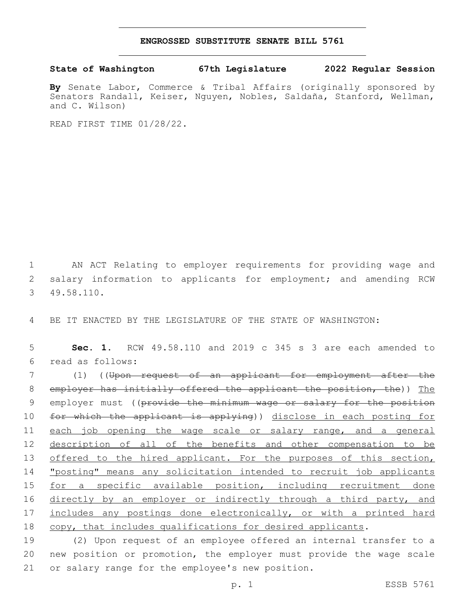## **ENGROSSED SUBSTITUTE SENATE BILL 5761**

## **State of Washington 67th Legislature 2022 Regular Session**

**By** Senate Labor, Commerce & Tribal Affairs (originally sponsored by Senators Randall, Keiser, Nguyen, Nobles, Saldaña, Stanford, Wellman, and C. Wilson)

READ FIRST TIME 01/28/22.

1 AN ACT Relating to employer requirements for providing wage and 2 salary information to applicants for employment; and amending RCW 49.58.110.3

4 BE IT ENACTED BY THE LEGISLATURE OF THE STATE OF WASHINGTON:

5 **Sec. 1.** RCW 49.58.110 and 2019 c 345 s 3 are each amended to read as follows:6

7 (1) ((Upon request of an applicant for employment after the 8 employer has initially offered the applicant the position, the)) The 9 employer must ((provide the minimum wage or salary for the position 10 for which the applicant is applying)) disclose in each posting for 11 each job opening the wage scale or salary range, and a general 12 description of all of the benefits and other compensation to be 13 offered to the hired applicant. For the purposes of this section, 14 "posting" means any solicitation intended to recruit job applicants 15 for a specific available position, including recruitment done 16 directly by an employer or indirectly through a third party, and 17 includes any postings done electronically, or with a printed hard 18 copy, that includes qualifications for desired applicants.

19 (2) Upon request of an employee offered an internal transfer to a 20 new position or promotion, the employer must provide the wage scale 21 or salary range for the employee's new position.